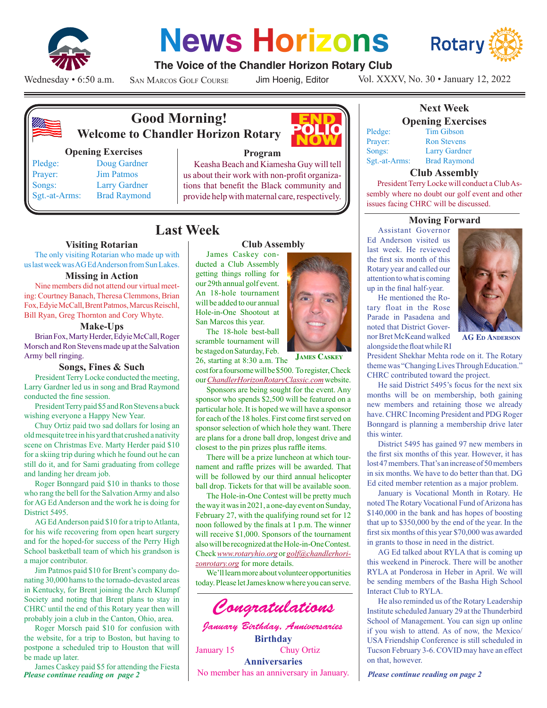

# **News Horizons**



## **The Voice of the Chandler Horizon Rotary Club**

Wednesday • 6:50 a.m.

San Marcos Golf Course

Jim Hoenig, Editor

Vol. XXXV, No. 30 • January 12, 2022



# **Good Morning! Welcome to Chandler Horizon Rotary**

#### **Opening Exercises**

Pledge: Doug Gardner Prayer: Jim Patmos Songs: Larry Gardner Sgt.-at-Arms: Brad Raymond



#### **Program**

Keasha Beach and Kiamesha Guy will tell us about their work with non-profit organizations that benefit the Black community and provide help with maternal care, respectively.

James Caskey conducted a Club Assembly getting things rolling for our 29th annual golf event. An 18-hole tournament will be added to our annual Hole-in-One Shootout at San Marcos this year. The 18-hole best-ball scramble tournament will be staged on Saturday, Feb.

# **Last Week**

#### **Visiting Rotarian**

The only visiting Rotarian who made up with us last week was AG Ed Anderson from Sun Lakes.

#### **Missing in Action**

Nine members did not attend our virtual meeting: Courtney Banach, Theresa Clemmons, Brian Fox, Edyie McCall, Brent Patmos, Marcus Reischl, Bill Ryan, Greg Thornton and Cory Whyte.

#### **Make-Ups**

Brian Fox, Marty Herder, Edyie McCall, Roger Morsch and Ron Stevens made up at the Salvation Army bell ringing.

#### **Songs, Fines & Such**

President Terry Locke conducted the meeting, Larry Gardner led us in song and Brad Raymond conducted the fine session.

President Terry paid \$5 and Ron Stevens a buck wishing everyone a Happy New Year.

Chuy Ortiz paid two sad dollars for losing an old mesquite tree in his yard that crushed a nativity scene on Christmas Eve. Marty Herder paid \$10 for a skiing trip during which he found out he can still do it, and for Sami graduating from college and landing her dream job.

Roger Bonngard paid \$10 in thanks to those who rang the bell for the Salvation Army and also for AG Ed Anderson and the work he is doing for District 5495.

AG Ed Anderson paid \$10 for a trip to Atlanta, for his wife recovering from open heart surgery and for the hoped-for success of the Perry High School basketball team of which his grandson is a major contributor.

Jim Patmos paid \$10 for Brent's company donating 30,000 hams to the tornado-devasted areas in Kentucky, for Brent joining the Arch Klumpf Society and noting that Brent plans to stay in CHRC until the end of this Rotary year then will probably join a club in the Canton, Ohio, area.

Roger Morsch paid \$10 for confusion with the website, for a trip to Boston, but having to postpone a scheduled trip to Houston that will be made up later.

*Please continue reading on page 2 Please continue reading on page 2* No member has an anniversary in January. James Caskey paid \$5 for attending the Fiesta<br>Please continue reading on page 2



26, starting at 8:30 a.m. The cost for a foursome will be \$500. To register, Check our *ChandlerHorizonRotaryClassic.com* website. **James Caskey**

Sponsors are being sought for the event. Any sponsor who spends \$2,500 will be featured on a particular hole. It is hoped we will have a sponsor for each of the 18 holes. First come first served on sponsor selection of which hole they want. There are plans for a drone ball drop, longest drive and closest to the pin prizes plus raffle items.

There will be a prize luncheon at which tournament and raffle prizes will be awarded. That will be followed by our third annual helicopter ball drop. Tickets for that will be available soon.

The Hole-in-One Contest will be pretty much the way it was in 2021, a one-day event on Sunday, February 27, with the qualifying round set for 12 noon followed by the finals at 1 p.m. The winner will receive \$1,000. Sponsors of the tournament also will be recognized at the Hole-in-One Contest. Check *www.rotaryhio.org* or *golf@chandlerhorizonrotary.org* for more details.

We'll learn more about volunteer opportunities today. Please let James know where you can serve.



#### **Next Week Opening Exercises** Pledge: Tim Gibson Prayer: Ron Stevens

Songs: Larry Gardner Sgt.-at-Arms: Brad Raymond

#### **Club Assembly**

President Terry Locke will conduct a Club Assembly where no doubt our golf event and other issues facing CHRC will be discussed.

#### **Moving Forward**

Assistant Governor Ed Anderson visited us last week. He reviewed the first six month of this Rotary year and called our attention to what is coming up in the final half-year.

He mentioned the Rotary float in the Rose Parade in Pasadena and noted that District Governor Bret McKeand walked alongside the float while RI



**AG Ed Anderson**

President Shekhar Mehta rode on it. The Rotary theme was "Changing Lives Through Education." CHRC contributed toward the project.

He said District 5495's focus for the next six months will be on membership, both gaining new members and retaining those we already have. CHRC Incoming President and PDG Roger Bonngard is planning a membership drive later this winter.

District 5495 has gained 97 new members in the first six months of this year. However, it has lost 47 members. That's an increase of 50 members in six months. We have to do better than that. DG Ed cited member retention as a major problem.

January is Vocational Month in Rotary. He noted The Rotary Vocational Fund of Arizona has \$140,000 in the bank and has hopes of boosting that up to \$350,000 by the end of the year. In the first six months of this year \$70,000 was awarded in grants to those in need in the district.

AG Ed talked about RYLA that is coming up this weekend in Pinerock. There will be another RYLA at Ponderosa in Heber in April. We will be sending members of the Basha High School Interact Club to RYLA.

He also reminded us of the Rotary Leadership Institute scheduled January 29 at the Thunderbird School of Management. You can sign up online if you wish to attend. As of now, the Mexico/ USA Friendship Conference is still scheduled in Tucson February 3-6. COVID may have an effect on that, however.